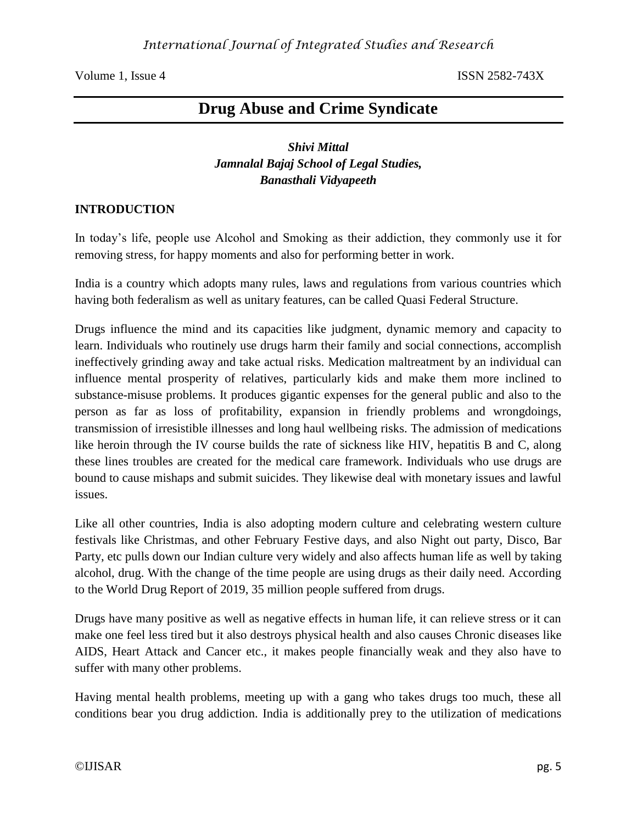# **Drug Abuse and Crime Syndicate**

# *Shivi Mittal Jamnalal Bajaj School of Legal Studies, Banasthali Vidyapeeth*

### **INTRODUCTION**

In today's life, people use Alcohol and Smoking as their addiction, they commonly use it for removing stress, for happy moments and also for performing better in work.

India is a country which adopts many rules, laws and regulations from various countries which having both federalism as well as unitary features, can be called Quasi Federal Structure.

Drugs influence the mind and its capacities like judgment, dynamic memory and capacity to learn. Individuals who routinely use drugs harm their family and social connections, accomplish ineffectively grinding away and take actual risks. Medication maltreatment by an individual can influence mental prosperity of relatives, particularly kids and make them more inclined to substance-misuse problems. It produces gigantic expenses for the general public and also to the person as far as loss of profitability, expansion in friendly problems and wrongdoings, transmission of irresistible illnesses and long haul wellbeing risks. The admission of medications like heroin through the IV course builds the rate of sickness like HIV, hepatitis B and C, along these lines troubles are created for the medical care framework. Individuals who use drugs are bound to cause mishaps and submit suicides. They likewise deal with monetary issues and lawful issues.

Like all other countries, India is also adopting modern culture and celebrating western culture festivals like Christmas, and other February Festive days, and also Night out party, Disco, Bar Party, etc pulls down our Indian culture very widely and also affects human life as well by taking alcohol, drug. With the change of the time people are using drugs as their daily need. According to the World Drug Report of 2019, 35 million people suffered from drugs.

Drugs have many positive as well as negative effects in human life, it can relieve stress or it can make one feel less tired but it also destroys physical health and also causes Chronic diseases like AIDS, Heart Attack and Cancer etc., it makes people financially weak and they also have to suffer with many other problems.

Having mental health problems, meeting up with a gang who takes drugs too much, these all conditions bear you drug addiction. India is additionally prey to the utilization of medications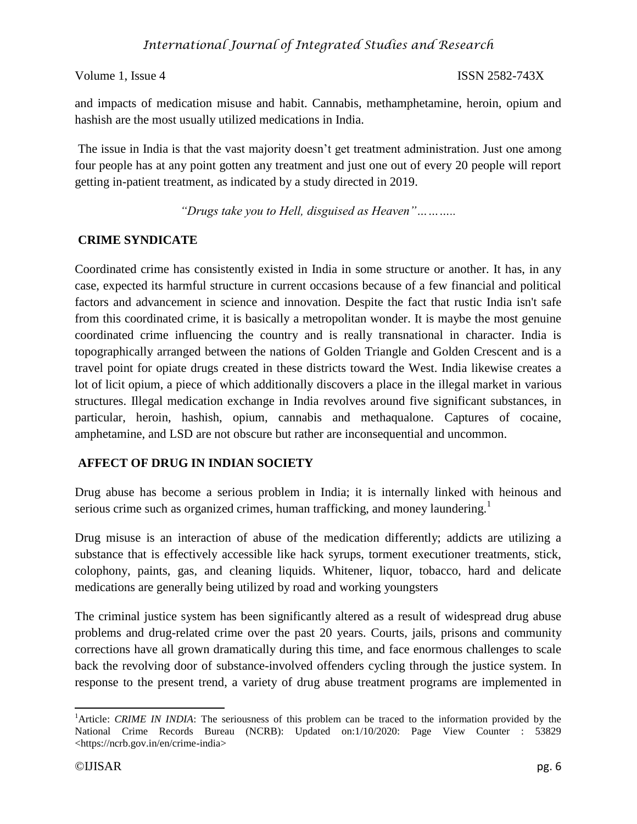and impacts of medication misuse and habit. Cannabis, methamphetamine, heroin, opium and hashish are the most usually utilized medications in India.

The issue in India is that the vast majority doesn't get treatment administration. Just one among four people has at any point gotten any treatment and just one out of every 20 people will report getting in-patient treatment, as indicated by a study directed in 2019.

*"Drugs take you to Hell, disguised as Heaven"………..*

# **CRIME SYNDICATE**

Coordinated crime has consistently existed in India in some structure or another. It has, in any case, expected its harmful structure in current occasions because of a few financial and political factors and advancement in science and innovation. Despite the fact that rustic India isn't safe from this coordinated crime, it is basically a metropolitan wonder. It is maybe the most genuine coordinated crime influencing the country and is really transnational in character. India is topographically arranged between the nations of Golden Triangle and Golden Crescent and is a travel point for opiate drugs created in these districts toward the West. India likewise creates a lot of licit opium, a piece of which additionally discovers a place in the illegal market in various structures. Illegal medication exchange in India revolves around five significant substances, in particular, heroin, hashish, opium, cannabis and methaqualone. Captures of cocaine, amphetamine, and LSD are not obscure but rather are inconsequential and uncommon.

# **AFFECT OF DRUG IN INDIAN SOCIETY**

Drug abuse has become a serious problem in India; it is internally linked with heinous and serious crime such as organized crimes, human trafficking, and money laundering.<sup>1</sup>

Drug misuse is an interaction of abuse of the medication differently; addicts are utilizing a substance that is effectively accessible like hack syrups, torment executioner treatments, stick, colophony, paints, gas, and cleaning liquids. Whitener, liquor, tobacco, hard and delicate medications are generally being utilized by road and working youngsters

The criminal justice system has been significantly altered as a result of widespread drug abuse problems and drug-related crime over the past 20 years. Courts, jails, prisons and community corrections have all grown dramatically during this time, and face enormous challenges to scale back the revolving door of substance-involved offenders cycling through the justice system. In response to the present trend, a variety of drug abuse treatment programs are implemented in

 $\overline{a}$ 

<sup>&</sup>lt;sup>1</sup>Article: *CRIME IN INDIA*: The seriousness of this problem can be traced to the information provided by the National Crime Records Bureau (NCRB): Updated on:1/10/2020: Page View Counter : 53829 <https://ncrb.gov.in/en/crime-india>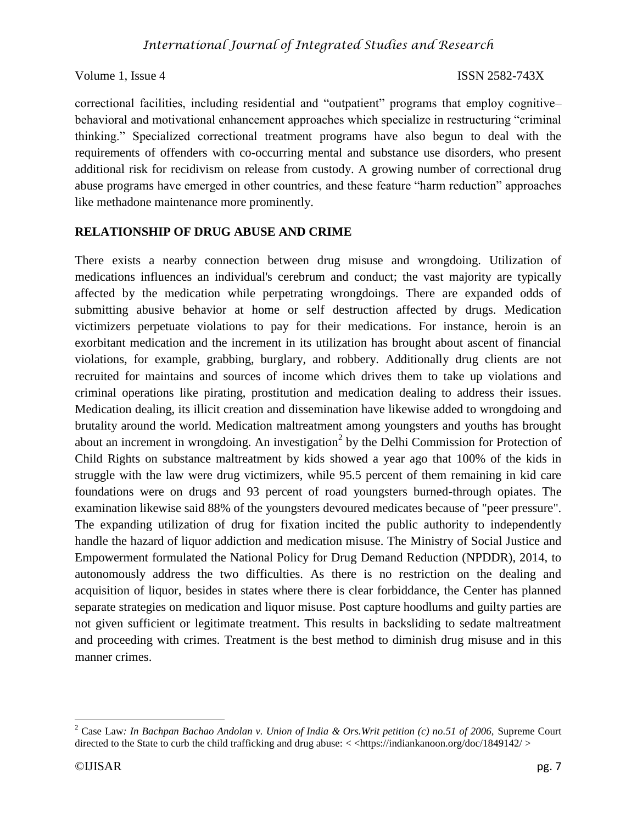correctional facilities, including residential and "outpatient" programs that employ cognitive– behavioral and motivational enhancement approaches which specialize in restructuring "criminal thinking." Specialized correctional treatment programs have also begun to deal with the requirements of offenders with co-occurring mental and substance use disorders, who present additional risk for recidivism on release from custody. A growing number of correctional drug abuse programs have emerged in other countries, and these feature "harm reduction" approaches like methadone maintenance more prominently.

### **RELATIONSHIP OF DRUG ABUSE AND CRIME**

There exists a nearby connection between drug misuse and wrongdoing. Utilization of medications influences an individual's cerebrum and conduct; the vast majority are typically affected by the medication while perpetrating wrongdoings. There are expanded odds of submitting abusive behavior at home or self destruction affected by drugs. Medication victimizers perpetuate violations to pay for their medications. For instance, heroin is an exorbitant medication and the increment in its utilization has brought about ascent of financial violations, for example, grabbing, burglary, and robbery. Additionally drug clients are not recruited for maintains and sources of income which drives them to take up violations and criminal operations like pirating, prostitution and medication dealing to address their issues. Medication dealing, its illicit creation and dissemination have likewise added to wrongdoing and brutality around the world. Medication maltreatment among youngsters and youths has brought about an increment in wrongdoing. An investigation<sup>2</sup> by the Delhi Commission for Protection of Child Rights on substance maltreatment by kids showed a year ago that 100% of the kids in struggle with the law were drug victimizers, while 95.5 percent of them remaining in kid care foundations were on drugs and 93 percent of road youngsters burned-through opiates. The examination likewise said 88% of the youngsters devoured medicates because of "peer pressure". The expanding utilization of drug for fixation incited the public authority to independently handle the hazard of liquor addiction and medication misuse. The Ministry of Social Justice and Empowerment formulated the National Policy for Drug Demand Reduction (NPDDR), 2014, to autonomously address the two difficulties. As there is no restriction on the dealing and acquisition of liquor, besides in states where there is clear forbiddance, the Center has planned separate strategies on medication and liquor misuse. Post capture hoodlums and guilty parties are not given sufficient or legitimate treatment. This results in backsliding to sedate maltreatment and proceeding with crimes. Treatment is the best method to diminish drug misuse and in this manner crimes.

 <sup>2</sup> Case Law*: In Bachpan Bachao Andolan v. Union of India & Ors.Writ petition (c) no.51 of 2006,* Supreme Court directed to the State to curb the child trafficking and drug abuse: <<https://indiankanoon.org/doc/1849142/>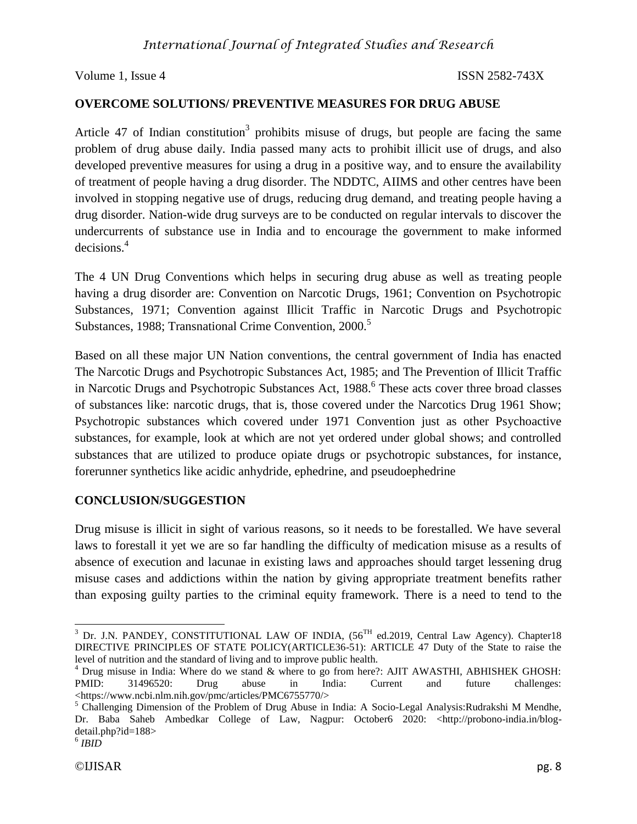## **OVERCOME SOLUTIONS/ PREVENTIVE MEASURES FOR DRUG ABUSE**

Article 47 of Indian constitution<sup>3</sup> prohibits misuse of drugs, but people are facing the same problem of drug abuse daily. India passed many acts to prohibit illicit use of drugs, and also developed preventive measures for using a drug in a positive way, and to ensure the availability of treatment of people having a drug disorder. The NDDTC, AIIMS and other centres have been involved in stopping negative use of drugs, reducing drug demand, and treating people having a drug disorder. Nation-wide drug surveys are to be conducted on regular intervals to discover the undercurrents of substance use in India and to encourage the government to make informed decisions.<sup>4</sup>

The 4 UN Drug Conventions which helps in securing drug abuse as well as treating people having a drug disorder are: Convention on Narcotic Drugs, 1961; Convention on Psychotropic Substances, 1971; Convention against Illicit Traffic in Narcotic Drugs and Psychotropic Substances, 1988; Transnational Crime Convention, 2000.<sup>5</sup>

Based on all these major UN Nation conventions, the central government of India has enacted The Narcotic Drugs and Psychotropic Substances Act, 1985; and The Prevention of Illicit Traffic in Narcotic Drugs and Psychotropic Substances Act, 1988.<sup>6</sup> These acts cover three broad classes of substances like: narcotic drugs, that is, those covered under the Narcotics Drug 1961 Show; Psychotropic substances which covered under 1971 Convention just as other Psychoactive substances, for example, look at which are not yet ordered under global shows; and controlled substances that are utilized to produce opiate drugs or psychotropic substances, for instance, forerunner synthetics like acidic anhydride, ephedrine, and pseudoephedrine

### **CONCLUSION/SUGGESTION**

Drug misuse is illicit in sight of various reasons, so it needs to be forestalled. We have several laws to forestall it yet we are so far handling the difficulty of medication misuse as a results of absence of execution and lacunae in existing laws and approaches should target lessening drug misuse cases and addictions within the nation by giving appropriate treatment benefits rather than exposing guilty parties to the criminal equity framework. There is a need to tend to the

 $3$  Dr. J.N. PANDEY, CONSTITUTIONAL LAW OF INDIA,  $(56<sup>TH</sup>$  ed.2019, Central Law Agency). Chapter18 DIRECTIVE PRINCIPLES OF STATE POLICY(ARTICLE36-51): ARTICLE 47 Duty of the State to raise the level of nutrition and the standard of living and to improve public health.

 $<sup>4</sup>$  Drug misuse in India: Where do we stand  $&$  where to go from here?: AJIT AWASTHI, ABHISHEK GHOSH:</sup> PMID: 31496520: Drug abuse in India: Current and future challenges[:](https://www.ncbi.nlm.nih.gov/pmc/articles/PMC6755770/) [<h](https://www.ncbi.nlm.nih.gov/pmc/articles/PMC6755770/)ttps://www.ncbi.nlm.nih.gov/pmc/articles/PMC6755770/>

<sup>&</sup>lt;sup>5</sup> Challenging Dimension of the Problem of Drug Abuse in India: A Socio-Legal Analysis:Rudrakshi M Mendhe, Dr. Baba Saheb Ambedkar College of Law, Nagpur: October6 2020: [<h](http://probono-india.in/blog-detail.php?id=188)ttp://probono-india.in/blogdetail.php?id=188>

<sup>6</sup> *IBID*